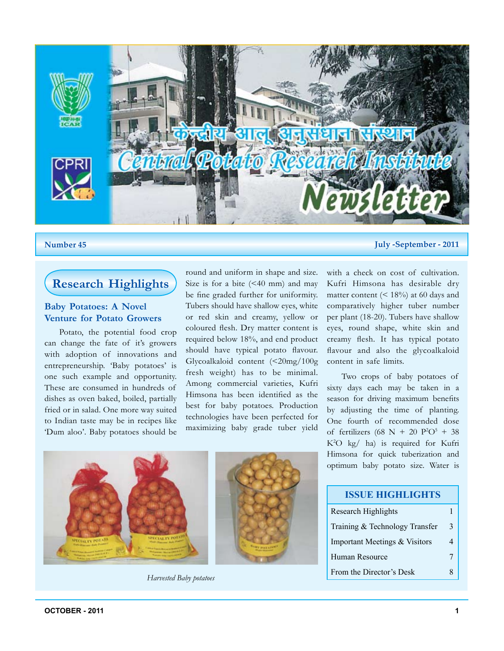

#### **Number 45 July -September - 2011**

# **Research Highlights**

#### **Baby Potatoes: A Novel Venture for Potato Growers**

Potato, the potential food crop can change the fate of it's growers with adoption of innovations and entrepreneurship. 'Baby potatoes' is one such example and opportunity. These are consumed in hundreds of dishes as oven baked, boiled, partially fried or in salad. One more way suited to Indian taste may be in recipes like 'Dum aloo'. Baby potatoes should be round and uniform in shape and size. Size is for a bite  $( $40 \text{ mm}$ )$  and may be fine graded further for uniformity. Tubers should have shallow eyes, white or red skin and creamy, yellow or coloured flesh. Dry matter content is required below 18%, and end product should have typical potato flavour. Glycoalkaloid content (<20mg/100g fresh weight) has to be minimal. Among commercial varieties, Kufri Himsona has been identified as the best for baby potatoes. Production technologies have been perfected for maximizing baby grade tuber yield



*Harvested Baby potatoes*

with a check on cost of cultivation. Kufri Himsona has desirable dry matter content  $(< 18\%)$  at 60 days and comparatively higher tuber number per plant (18-20). Tubers have shallow eyes, round shape, white skin and creamy flesh. It has typical potato flavour and also the glycoalkaloid

content in safe limits.

Two crops of baby potatoes of sixty days each may be taken in a season for driving maximum benefits by adjusting the time of planting. One fourth of recommended dose of fertilizers (68 N + 20  $P^2O^5 + 38$ K2 O kg/ ha) is required for Kufri Himsona for quick tuberization and optimum baby potato size. Water is

| <b>ISSUE HIGHLIGHTS</b>        |   |  |
|--------------------------------|---|--|
| <b>Research Highlights</b>     |   |  |
| Training & Technology Transfer | 3 |  |
| Important Meetings & Visitors  |   |  |
| Human Resource                 |   |  |
| From the Director's Desk       |   |  |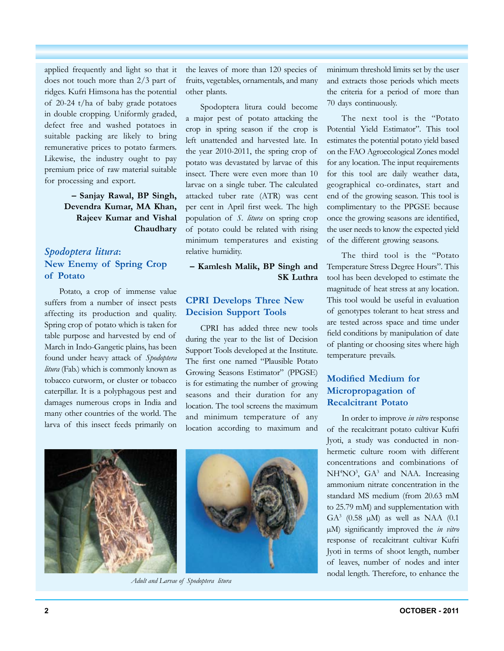applied frequently and light so that it does not touch more than 2/3 part of ridges. Kufri Himsona has the potential of 20-24 t/ha of baby grade potatoes in double cropping. Uniformly graded, defect free and washed potatoes in suitable packing are likely to bring remunerative prices to potato farmers. Likewise, the industry ought to pay premium price of raw material suitable for processing and export.

#### **– Sanjay Rawal, BP Singh, Devendra Kumar, MA Khan, Rajeev Kumar and Vishal Chaudhary**

## *Spodoptera litura***: New Enemy of Spring Crop of Potato**

Potato, a crop of immense value suffers from a number of insect pests affecting its production and quality. Spring crop of potato which is taken for table purpose and harvested by end of March in Indo-Gangetic plains, has been found under heavy attack of *Spodoptera litura* (Fab.) which is commonly known as tobacco cutworm, or cluster or tobacco caterpillar. It is a polyphagous pest and damages numerous crops in India and many other countries of the world. The larva of this insect feeds primarily on the leaves of more than 120 species of fruits, vegetables, ornamentals, and many other plants.

Spodoptera litura could become a major pest of potato attacking the crop in spring season if the crop is left unattended and harvested late. In the year 2010-2011, the spring crop of potato was devastated by larvae of this insect. There were even more than 10 larvae on a single tuber. The calculated attacked tuber rate (ATR) was cent per cent in April first week. The high population of *S. litura* on spring crop of potato could be related with rising minimum temperatures and existing relative humidity.

#### **– Kamlesh Malik, BP Singh and SK Luthra**

### **CPRI Develops Three New Decision Support Tools**

CPRI has added three new tools during the year to the list of Decision Support Tools developed at the Institute. The first one named "Plausible Potato Growing Seasons Estimator" (PPGSE) is for estimating the number of growing seasons and their duration for any location. The tool screens the maximum and minimum temperature of any location according to maximum and



*Adult and Larvae of Spodoptera litura*

minimum threshold limits set by the user and extracts those periods which meets the criteria for a period of more than 70 days continuously.

The next tool is the "Potato Potential Yield Estimator". This tool estimates the potential potato yield based on the FAO Agroecological Zones model for any location. The input requirements for this tool are daily weather data, geographical co-ordinates, start and end of the growing season. This tool is complimentary to the PPGSE because once the growing seasons are identified, the user needs to know the expected yield of the different growing seasons.

The third tool is the "Potato Temperature Stress Degree Hours". This tool has been developed to estimate the magnitude of heat stress at any location. This tool would be useful in evaluation of genotypes tolerant to heat stress and are tested across space and time under field conditions by manipulation of date of planting or choosing sites where high temperature prevails.

## **Modified Medium for Micropropagation of Recalcitrant Potato**

In order to improve *in vitro* response of the recalcitrant potato cultivar Kufri Jyoti, a study was conducted in nonhermetic culture room with different concentrations and combinations of NH<sup>4</sup>NO<sup>3</sup>, GA<sup>3</sup> and NAA. Increasing ammonium nitrate concentration in the standard MS medium (from 20.63 mM to 25.79 mM) and supplementation with GA<sup>3</sup> (0.58  $\mu$ M) as well as NAA (0.1 µM) significantly improved the *in vitro*  response of recalcitrant cultivar Kufri Jyoti in terms of shoot length, number of leaves, number of nodes and inter nodal length. Therefore, to enhance the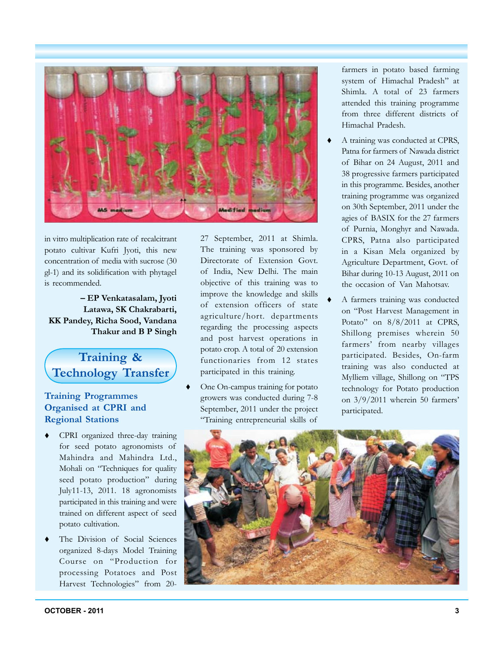

in vitro multiplication rate of recalcitrant potato cultivar Kufri Jyoti, this new concentration of media with sucrose (30 gl-1) and its solidification with phytagel is recommended.

**– EP Venkatasalam, Jyoti Latawa, SK Chakrabarti, KK Pandey, Richa Sood, Vandana Thakur and B P Singh**

# **Training & Technology Transfer**

## **Training Programmes Organised at CPRI and Regional Stations**

- CPRI organized three-day training for seed potato agronomists of Mahindra and Mahindra Ltd., Mohali on "Techniques for quality seed potato production" during July11-13, 2011. 18 agronomists participated in this training and were trained on different aspect of seed potato cultivation.
- The Division of Social Sciences organized 8-days Model Training Course on "Production for processing Potatoes and Post Harvest Technologies" from 20-

27 September, 2011 at Shimla. The training was sponsored by Directorate of Extension Govt. of India, New Delhi. The main objective of this training was to improve the knowledge and skills of extension officers of state agriculture/hort. departments regarding the processing aspects and post harvest operations in potato crop. A total of 20 extension functionaries from 12 states participated in this training.

 One On-campus training for potato growers was conducted during 7-8 September, 2011 under the project "Training entrepreneurial skills of

farmers in potato based farming system of Himachal Pradesh" at Shimla. A total of 23 farmers attended this training programme from three different districts of Himachal Pradesh.

- A training was conducted at CPRS, Patna for farmers of Nawada district of Bihar on 24 August, 2011 and 38 progressive farmers participated in this programme. Besides, another training programme was organized on 30th September, 2011 under the agies of BASIX for the 27 farmers of Purnia, Monghyr and Nawada. CPRS, Patna also participated in a Kisan Mela organized by Agriculture Department, Govt. of Bihar during 10-13 August, 2011 on the occasion of Van Mahotsav.
- A farmers training was conducted on "Post Harvest Management in Potato" on 8/8/2011 at CPRS, Shillong premises wherein 50 farmers' from nearby villages participated. Besides, On-farm training was also conducted at Mylliem village, Shillong on "TPS technology for Potato production on 3/9/2011 wherein 50 farmers' participated.

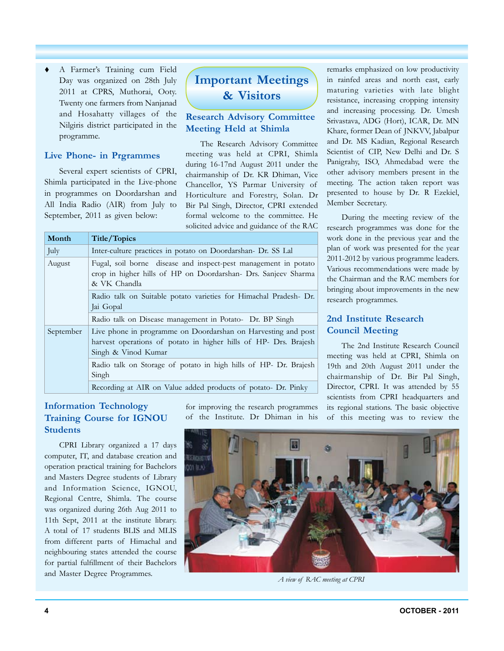A Farmer's Training cum Field Day was organized on 28th July 2011 at CPRS, Muthorai, Ooty. Twenty one farmers from Nanjanad and Hosahatty villages of the Nilgiris district participated in the programme.

#### **Live Phone- in Prgrammes**

Several expert scientists of CPRI, Shimla participated in the Live-phone in programmes on Doordarshan and All India Radio (AIR) from July to September, 2011 as given below:

# **Important Meetings & Visitors**

#### **Research Advisory Committee Meeting Held at Shimla**

The Research Advisory Committee meeting was held at CPRI, Shimla during 16-17nd August 2011 under the chairmanship of Dr. KR Dhiman, Vice Chancellor, YS Parmar University of Horticulture and Forestry, Solan. Dr Bir Pal Singh, Director, CPRI extended formal welcome to the committee. He solicited advice and guidance of the RAC

|  | Month     | Title/Topics                                                                                                                                             |  |  |
|--|-----------|----------------------------------------------------------------------------------------------------------------------------------------------------------|--|--|
|  | July      | Inter-culture practices in potato on Doordarshan- Dr. SS Lal                                                                                             |  |  |
|  | August    | Fugal, soil borne disease and inspect-pest management in potato<br>crop in higher hills of HP on Doordarshan- Drs. Sanjeev Sharma<br>& VK Chandla        |  |  |
|  |           | Radio talk on Suitable potato varieties for Himachal Pradesh- Dr.<br>Jai Gopal                                                                           |  |  |
|  |           | Radio talk on Disease management in Potato- Dr. BP Singh                                                                                                 |  |  |
|  | September | Live phone in programme on Doordarshan on Harvesting and post<br>harvest operations of potato in higher hills of HP- Drs. Brajesh<br>Singh & Vinod Kumar |  |  |
|  |           | Radio talk on Storage of potato in high hills of HP- Dr. Brajesh<br>Singh                                                                                |  |  |
|  |           | Recording at AIR on Value added products of potato- Dr. Pinky                                                                                            |  |  |

## **Information Technology Training Course for IGNOU Students**

CPRI Library organized a 17 days computer, IT, and database creation and operation practical training for Bachelors and Masters Degree students of Library and Information Science, IGNOU, Regional Centre, Shimla. The course was organized during 26th Aug 2011 to 11th Sept, 2011 at the institute library. A total of 17 students BLIS and MLIS from different parts of Himachal and neighbouring states attended the course for partial fulfillment of their Bachelors and Master Degree Programmes.

for improving the research programmes of the Institute. Dr Dhiman in his

remarks emphasized on low productivity in rainfed areas and north east, early maturing varieties with late blight resistance, increasing cropping intensity and increasing processing. Dr. Umesh Srivastava, ADG (Hort), ICAR, Dr. MN Khare, former Dean of JNKVV, Jabalpur and Dr. MS Kadian, Regional Research Scientist of CIP, New Delhi and Dr. S Panigrahy, ISO, Ahmedabad were the other advisory members present in the meeting. The action taken report was presented to house by Dr. R Ezekiel, Member Secretary.

During the meeting review of the research programmes was done for the work done in the previous year and the plan of work was presented for the year 2011-2012 by various programme leaders. Various recommendations were made by the Chairman and the RAC members for bringing about improvements in the new research programmes.

## **2nd Institute Research Council Meeting**

The 2nd Institute Research Council meeting was held at CPRI, Shimla on 19th and 20th August 2011 under the chairmanship of Dr. Bir Pal Singh, Director, CPRI. It was attended by 55 scientists from CPRI headquarters and its regional stations. The basic objective of this meeting was to review the



*A view of RAC meeting at CPRI*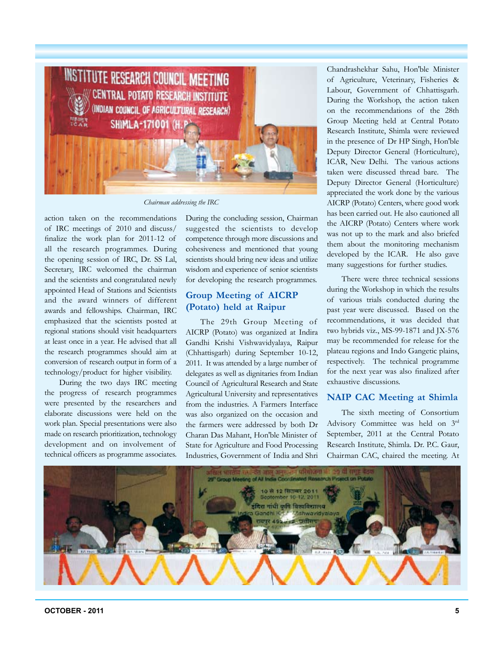

*Chairman addressing the IRC*

action taken on the recommendations of IRC meetings of 2010 and discuss/ finalize the work plan for 2011-12 of all the research programmes. During the opening session of IRC, Dr. SS Lal, Secretary, IRC welcomed the chairman and the scientists and congratulated newly appointed Head of Stations and Scientists and the award winners of different awards and fellowships. Chairman, IRC emphasized that the scientists posted at regional stations should visit headquarters at least once in a year. He advised that all the research programmes should aim at conversion of research output in form of a technology/product for higher visibility.

During the two days IRC meeting the progress of research programmes were presented by the researchers and elaborate discussions were held on the work plan. Special presentations were also made on research prioritization, technology development and on involvement of technical officers as programme associates.

During the concluding session, Chairman suggested the scientists to develop competence through more discussions and cohesiveness and mentioned that young scientists should bring new ideas and utilize wisdom and experience of senior scientists for developing the research programmes.

### **Group Meeting of AICRP (Potato) held at Raipur**

The 29th Group Meeting of AICRP (Potato) was organized at Indira Gandhi Krishi Vishwavidyalaya, Raipur (Chhattisgarh) during September 10-12, 2011. It was attended by a large number of delegates as well as dignitaries from Indian Council of Agricultural Research and State Agricultural University and representatives from the industries. A Farmers Interface was also organized on the occasion and the farmers were addressed by both Dr Charan Das Mahant, Hon'ble Minister of State for Agriculture and Food Processing Industries, Government of India and Shri

Chandrashekhar Sahu, Hon'ble Minister of Agriculture, Veterinary, Fisheries & Labour, Government of Chhattisgarh. During the Workshop, the action taken on the recommendations of the 28th Group Meeting held at Central Potato Research Institute, Shimla were reviewed in the presence of Dr HP Singh, Hon'ble Deputy Director General (Horticulture), ICAR, New Delhi. The various actions taken were discussed thread bare. The Deputy Director General (Horticulture) appreciated the work done by the various AICRP (Potato) Centers, where good work has been carried out. He also cautioned all the AICRP (Potato) Centers where work was not up to the mark and also briefed them about the monitoring mechanism developed by the ICAR. He also gave many suggestions for further studies.

There were three technical sessions during the Workshop in which the results of various trials conducted during the past year were discussed. Based on the recommendations, it was decided that two hybrids viz., MS-99-1871 and JX-576 may be recommended for release for the plateau regions and Indo Gangetic plains, respectively. The technical programme for the next year was also finalized after exhaustive discussions.

#### **NAIP CAC Meeting at Shimla**

The sixth meeting of Consortium Advisory Committee was held on 3rd September, 2011 at the Central Potato Research Institute, Shimla. Dr. P.C. Gaur, Chairman CAC, chaired the meeting. At

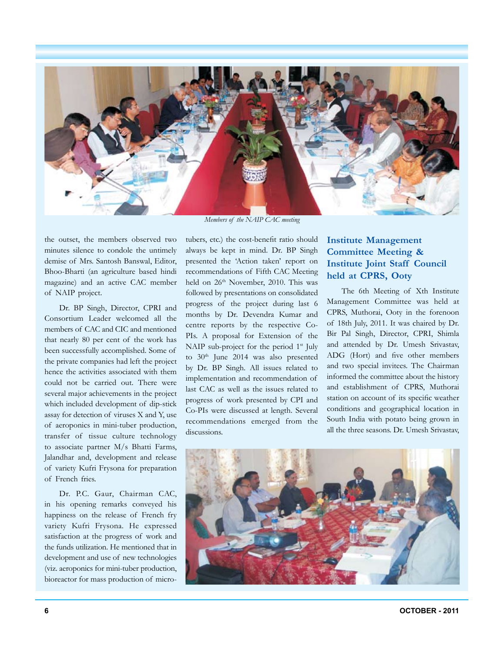

*Members of the NAIP CAC meeting*

the outset, the members observed two minutes silence to condole the untimely demise of Mrs. Santosh Banswal, Editor, Bhoo-Bharti (an agriculture based hindi magazine) and an active CAC member of NAIP project.

Dr. BP Singh, Director, CPRI and Consortium Leader welcomed all the members of CAC and CIC and mentioned that nearly 80 per cent of the work has been successfully accomplished. Some of the private companies had left the project hence the activities associated with them could not be carried out. There were several major achievements in the project which included development of dip-stick assay for detection of viruses X and Y, use of aeroponics in mini-tuber production, transfer of tissue culture technology to associate partner M/s Bhatti Farms, Jalandhar and, development and release of variety Kufri Frysona for preparation of French fries.

Dr. P.C. Gaur, Chairman CAC, in his opening remarks conveyed his happiness on the release of French fry variety Kufri Frysona. He expressed satisfaction at the progress of work and the funds utilization. He mentioned that in development and use of new technologies (viz. aeroponics for mini-tuber production, bioreactor for mass production of microtubers, etc.) the cost-benefit ratio should always be kept in mind. Dr. BP Singh presented the 'Action taken' report on recommendations of Fifth CAC Meeting held on 26<sup>th</sup> November, 2010. This was followed by presentations on consolidated progress of the project during last 6 months by Dr. Devendra Kumar and centre reports by the respective Co-PIs. A proposal for Extension of the NAIP sub-project for the period  $1<sup>st</sup>$  July to  $30<sup>th</sup>$  June 2014 was also presented by Dr. BP Singh. All issues related to implementation and recommendation of last CAC as well as the issues related to progress of work presented by CPI and Co-PIs were discussed at length. Several recommendations emerged from the discussions.

## **Institute Management Committee Meeting & Institute Joint Staff Council held at CPRS, Ooty**

The 6th Meeting of Xth Institute Management Committee was held at CPRS, Muthorai, Ooty in the forenoon of 18th July, 2011. It was chaired by Dr. Bir Pal Singh, Director, CPRI, Shimla and attended by Dr. Umesh Srivastav, ADG (Hort) and five other members and two special invitees. The Chairman informed the committee about the history and establishment of CPRS, Muthorai station on account of its specific weather conditions and geographical location in South India with potato being grown in all the three seasons. Dr. Umesh Srivastav,

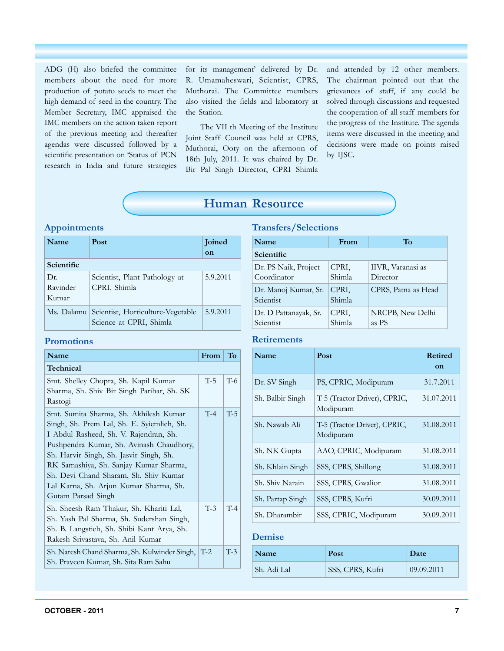ADG (H) also briefed the committee members about the need for more production of potato seeds to meet the high demand of seed in the country. The Member Secretary, IMC appraised the IMC members on the action taken report of the previous meeting and thereafter agendas were discussed followed by a scientific presentation on 'Status of PCN research in India and future strategies for its management' delivered by Dr. R. Umamaheswari, Scientist, CPRS, Muthorai. The Committee members also visited the fields and laboratory at the Station.

The VII th Meeting of the Institute Joint Staff Council was held at CPRS, Muthorai, Ooty on the afternoon of 18th July, 2011. It was chaired by Dr. Bir Pal Singh Director, CPRI Shimla and attended by 12 other members. The chairman pointed out that the grievances of staff, if any could be solved through discussions and requested the cooperation of all staff members for the progress of the Institute. The agenda items were discussed in the meeting and decisions were made on points raised by IJSC.

## **Human Resource**

#### **Appointments**

| Name                     | Post                                                         | Joined<br>on |
|--------------------------|--------------------------------------------------------------|--------------|
| Scientific               |                                                              |              |
| Dr.<br>Ravinder<br>Kumar | Scientist, Plant Pathology at<br>CPRI, Shimla                | 5.9.2011     |
| Ms. Dalamu               | Scientist, Horticulture-Vegetable<br>Science at CPRI, Shimla | 5.9.2011     |

#### **Transfers/Selections**

| Name                                | From            | To                            |
|-------------------------------------|-----------------|-------------------------------|
| Scientific                          |                 |                               |
| Dr. PS Naik, Project<br>Coordinator | CPRI,<br>Shimla | IIVR, Varanasi as<br>Director |
| Dr. Manoj Kumar, Sr.<br>Scientist   | CPRI,<br>Shimla | CPRS, Patna as Head           |
| Dr. D Pattanayak, Sr.<br>Scientist  | CPRI,<br>Shimla | NRCPB, New Delhi<br>as PS     |

### **Promotions**

| Name                                                                                                                                                                                                                                                                                                                                                                     | From  | To    |  |
|--------------------------------------------------------------------------------------------------------------------------------------------------------------------------------------------------------------------------------------------------------------------------------------------------------------------------------------------------------------------------|-------|-------|--|
| Technical                                                                                                                                                                                                                                                                                                                                                                |       |       |  |
| Smt. Shelley Chopra, Sh. Kapil Kumar<br>Sharma, Sh. Shiv Bir Singh Parihar, Sh. SK<br>Rastogi                                                                                                                                                                                                                                                                            | $T-5$ | $T-6$ |  |
| Smt. Sumita Sharma, Sh. Akhilesh Kumar<br>Singh, Sh. Prem Lal, Sh. E. Syiemlieh, Sh.<br>I Abdul Rasheed, Sh. V. Rajendran, Sh.<br>Pushpendra Kumar, Sh. Avinash Chaudhory,<br>Sh. Harvir Singh, Sh. Jasvir Singh, Sh.<br>RK Samashiya, Sh. Sanjay Kumar Sharma,<br>Sh. Devi Chand Sharam, Sh. Shiv Kumar<br>Lal Karna, Sh. Arjun Kumar Sharma, Sh.<br>Gutam Parsad Singh | $T-4$ | $T-5$ |  |
| Sh. Sheesh Ram Thakur, Sh. Khariti Lal,<br>Sh. Yash Pal Sharma, Sh. Sudershan Singh,<br>Sh. B. Langstieh, Sh. Shibi Kant Arya, Sh.<br>Rakesh Srivastava, Sh. Anil Kumar                                                                                                                                                                                                  | $T-3$ | $T-4$ |  |
| Sh. Naresh Chand Sharma, Sh. Kulwinder Singh,   T-2<br>Sh. Praveen Kumar, Sh. Sita Ram Sahu                                                                                                                                                                                                                                                                              |       | $T-3$ |  |

## **Retirements**

| Name             | Post                                      | <b>Retired</b><br>on |
|------------------|-------------------------------------------|----------------------|
| Dr. SV Singh     | PS, CPRIC, Modipuram                      | 31.7.2011            |
| Sh. Balbir Singh | T-5 (Tractor Driver), CPRIC,<br>Modipuram | 31.07.2011           |
| Sh. Nawab Ali    | T-5 (Tractor Driver), CPRIC,<br>Modipuram | 31.08.2011           |
| Sh. NK Gupta     | AAO, CPRIC, Modipuram                     | 31.08.2011           |
| Sh. Khlain Singh | SSS, CPRS, Shillong                       | 31.08.2011           |
| Sh. Shiv Narain  | SSS, CPRS, Gwalior                        | 31.08.2011           |
| Sh. Partap Singh | SSS, CPRS, Kufri                          | 30.09.2011           |
| Sh. Dharambir    | SSS, CPRIC, Modipuram                     | 30.09.2011           |

#### **Demise**

| Name        | Post             | Date       |
|-------------|------------------|------------|
| Sh. Adi Lal | SSS, CPRS, Kufri | 09.09.2011 |